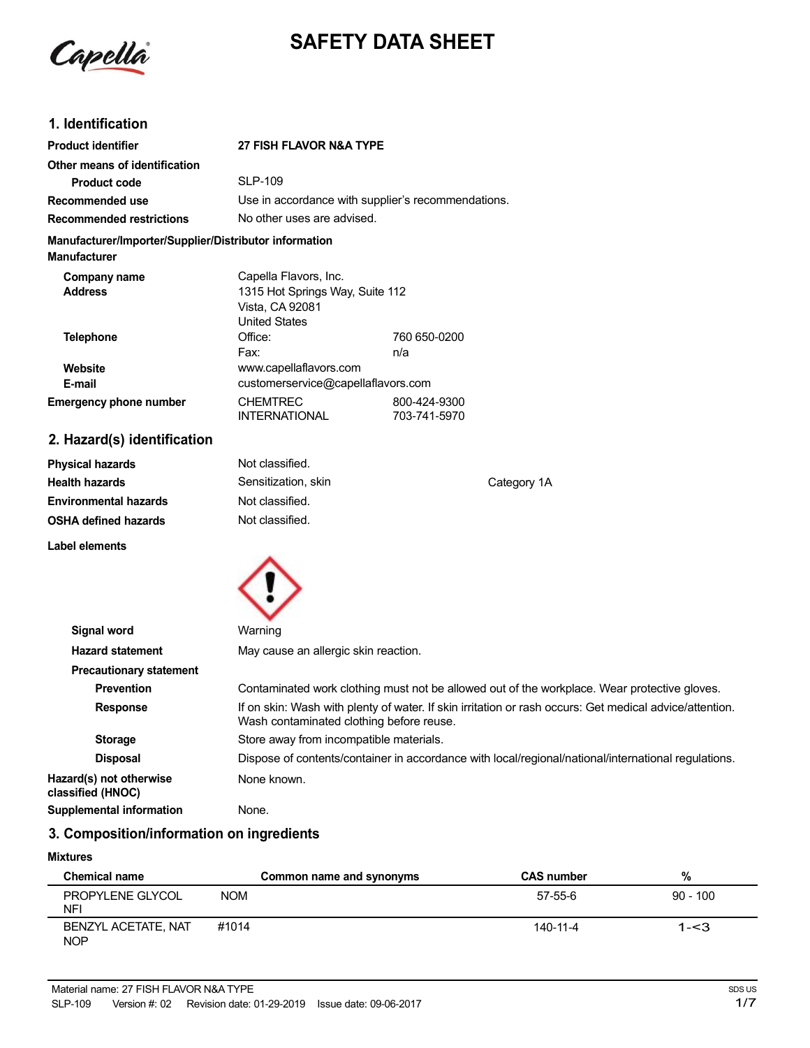

# **SAFETY DATA SHEET**

# **1. Identification**

| <b>Product identifier</b>                                                     | 27 FISH FLAVOR N&A TYPE                                      |                              |
|-------------------------------------------------------------------------------|--------------------------------------------------------------|------------------------------|
| Other means of identification                                                 |                                                              |                              |
| <b>Product code</b>                                                           | <b>SLP-109</b>                                               |                              |
| Recommended use                                                               | Use in accordance with supplier's recommendations.           |                              |
| <b>Recommended restrictions</b>                                               | No other uses are advised.                                   |                              |
| Manufacturer/Importer/Supplier/Distributor information<br><b>Manufacturer</b> |                                                              |                              |
| Company name                                                                  | Capella Flavors, Inc.                                        |                              |
| <b>Address</b>                                                                | 1315 Hot Springs Way, Suite 112<br>Vista, CA 92081           |                              |
| <b>Telephone</b>                                                              | <b>United States</b><br>Office:                              | 760 650-0200                 |
|                                                                               | Fax:                                                         | n/a                          |
| Website<br>E-mail                                                             | www.capellaflavors.com<br>customerservice@capellaflavors.com |                              |
| <b>Emergency phone number</b>                                                 | <b>CHEMTREC</b><br><b>INTERNATIONAL</b>                      | 800-424-9300<br>703-741-5970 |
| 2. Hazard(s) identification                                                   |                                                              |                              |

| <b>Physical hazards</b>      | Not classified.     |             |
|------------------------------|---------------------|-------------|
| <b>Health hazards</b>        | Sensitization, skin | Category 1A |
| <b>Environmental hazards</b> | Not classified.     |             |
| <b>OSHA defined hazards</b>  | Not classified.     |             |
| Label elements               |                     |             |



| Signal word                                  | Warning                                                                                                                                             |
|----------------------------------------------|-----------------------------------------------------------------------------------------------------------------------------------------------------|
| <b>Hazard statement</b>                      | May cause an allergic skin reaction.                                                                                                                |
| <b>Precautionary statement</b>               |                                                                                                                                                     |
| <b>Prevention</b>                            | Contaminated work clothing must not be allowed out of the workplace. Wear protective gloves.                                                        |
| <b>Response</b>                              | If on skin: Wash with plenty of water. If skin irritation or rash occurs: Get medical advice/attention.<br>Wash contaminated clothing before reuse. |
| <b>Storage</b>                               | Store away from incompatible materials.                                                                                                             |
| <b>Disposal</b>                              | Dispose of contents/container in accordance with local/regional/national/international regulations.                                                 |
| Hazard(s) not otherwise<br>classified (HNOC) | None known.                                                                                                                                         |
| <b>Supplemental information</b>              | None.                                                                                                                                               |

# **3. Composition/information on ingredients**

#### **Mixtures**

| <b>Chemical name</b>              | Common name and synonyms | <b>CAS number</b> | %          |
|-----------------------------------|--------------------------|-------------------|------------|
| PROPYLENE GLYCOL<br>NFI           | <b>NOM</b>               | 57-55-6           | $90 - 100$ |
| BENZYL ACETATE, NAT<br><b>NOP</b> | #1014                    | 140-11-4          | $1 - 3$    |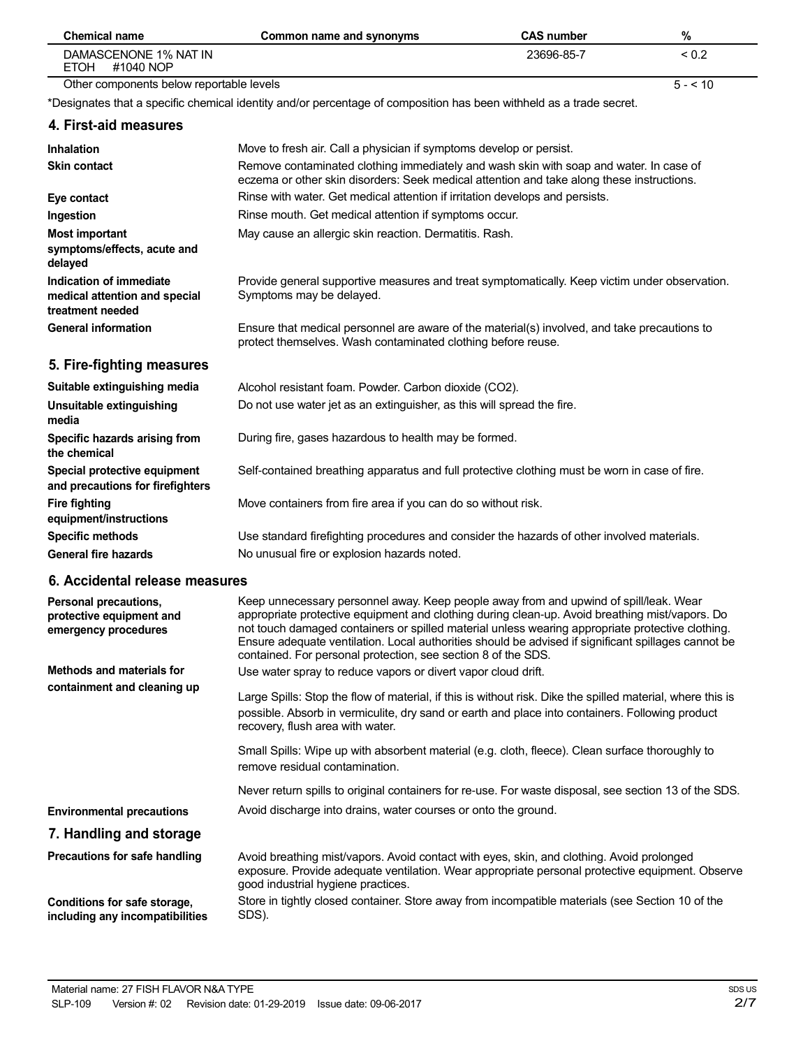| <b>Chemical name</b>                                                         | Common name and synonyms                                                                                                                                                                                                                                                                                                                                                                                                                                            | <b>CAS number</b> | %          |
|------------------------------------------------------------------------------|---------------------------------------------------------------------------------------------------------------------------------------------------------------------------------------------------------------------------------------------------------------------------------------------------------------------------------------------------------------------------------------------------------------------------------------------------------------------|-------------------|------------|
| DAMASCENONE 1% NAT IN<br><b>ETOH</b><br>#1040 NOP                            |                                                                                                                                                                                                                                                                                                                                                                                                                                                                     | 23696-85-7        | ${}_{0.2}$ |
| Other components below reportable levels                                     |                                                                                                                                                                                                                                                                                                                                                                                                                                                                     |                   | $5 - 10$   |
|                                                                              | *Designates that a specific chemical identity and/or percentage of composition has been withheld as a trade secret.                                                                                                                                                                                                                                                                                                                                                 |                   |            |
| 4. First-aid measures                                                        |                                                                                                                                                                                                                                                                                                                                                                                                                                                                     |                   |            |
| <b>Inhalation</b><br><b>Skin contact</b>                                     | Move to fresh air. Call a physician if symptoms develop or persist.<br>Remove contaminated clothing immediately and wash skin with soap and water. In case of<br>eczema or other skin disorders: Seek medical attention and take along these instructions.                                                                                                                                                                                                          |                   |            |
| Eye contact                                                                  | Rinse with water. Get medical attention if irritation develops and persists.                                                                                                                                                                                                                                                                                                                                                                                        |                   |            |
| Ingestion                                                                    | Rinse mouth. Get medical attention if symptoms occur.                                                                                                                                                                                                                                                                                                                                                                                                               |                   |            |
| <b>Most important</b><br>symptoms/effects, acute and<br>delayed              | May cause an allergic skin reaction. Dermatitis. Rash.                                                                                                                                                                                                                                                                                                                                                                                                              |                   |            |
| Indication of immediate<br>medical attention and special<br>treatment needed | Provide general supportive measures and treat symptomatically. Keep victim under observation.<br>Symptoms may be delayed.                                                                                                                                                                                                                                                                                                                                           |                   |            |
| <b>General information</b>                                                   | Ensure that medical personnel are aware of the material(s) involved, and take precautions to<br>protect themselves. Wash contaminated clothing before reuse.                                                                                                                                                                                                                                                                                                        |                   |            |
| 5. Fire-fighting measures                                                    |                                                                                                                                                                                                                                                                                                                                                                                                                                                                     |                   |            |
| Suitable extinguishing media                                                 | Alcohol resistant foam. Powder. Carbon dioxide (CO2).                                                                                                                                                                                                                                                                                                                                                                                                               |                   |            |
| Unsuitable extinguishing<br>media                                            | Do not use water jet as an extinguisher, as this will spread the fire.                                                                                                                                                                                                                                                                                                                                                                                              |                   |            |
| Specific hazards arising from<br>the chemical                                | During fire, gases hazardous to health may be formed.                                                                                                                                                                                                                                                                                                                                                                                                               |                   |            |
| Special protective equipment<br>and precautions for firefighters             | Self-contained breathing apparatus and full protective clothing must be worn in case of fire.                                                                                                                                                                                                                                                                                                                                                                       |                   |            |
| <b>Fire fighting</b><br>equipment/instructions                               | Move containers from fire area if you can do so without risk.                                                                                                                                                                                                                                                                                                                                                                                                       |                   |            |
| <b>Specific methods</b>                                                      | Use standard firefighting procedures and consider the hazards of other involved materials.                                                                                                                                                                                                                                                                                                                                                                          |                   |            |
| <b>General fire hazards</b>                                                  | No unusual fire or explosion hazards noted.                                                                                                                                                                                                                                                                                                                                                                                                                         |                   |            |
| 6. Accidental release measures                                               |                                                                                                                                                                                                                                                                                                                                                                                                                                                                     |                   |            |
| Personal precautions,<br>protective equipment and<br>emergency procedures    | Keep unnecessary personnel away. Keep people away from and upwind of spill/leak. Wear<br>appropriate protective equipment and clothing during clean-up. Avoid breathing mist/vapors. Do<br>not touch damaged containers or spilled material unless wearing appropriate protective clothing.<br>Ensure adequate ventilation. Local authorities should be advised if significant spillages cannot be<br>contained. For personal protection, see section 8 of the SDS. |                   |            |
| <b>Methods and materials for</b>                                             | Use water spray to reduce vapors or divert vapor cloud drift.                                                                                                                                                                                                                                                                                                                                                                                                       |                   |            |
| containment and cleaning up                                                  | Large Spills: Stop the flow of material, if this is without risk. Dike the spilled material, where this is<br>possible. Absorb in vermiculite, dry sand or earth and place into containers. Following product<br>recovery, flush area with water.                                                                                                                                                                                                                   |                   |            |
|                                                                              | Small Spills: Wipe up with absorbent material (e.g. cloth, fleece). Clean surface thoroughly to<br>remove residual contamination.                                                                                                                                                                                                                                                                                                                                   |                   |            |
|                                                                              | Never return spills to original containers for re-use. For waste disposal, see section 13 of the SDS.                                                                                                                                                                                                                                                                                                                                                               |                   |            |
| <b>Environmental precautions</b>                                             | Avoid discharge into drains, water courses or onto the ground.                                                                                                                                                                                                                                                                                                                                                                                                      |                   |            |
| 7. Handling and storage                                                      |                                                                                                                                                                                                                                                                                                                                                                                                                                                                     |                   |            |
| Precautions for safe handling                                                | Avoid breathing mist/vapors. Avoid contact with eyes, skin, and clothing. Avoid prolonged<br>exposure. Provide adequate ventilation. Wear appropriate personal protective equipment. Observe<br>good industrial hygiene practices.                                                                                                                                                                                                                                  |                   |            |
| Conditions for safe storage,<br>including any incompatibilities              | Store in tightly closed container. Store away from incompatible materials (see Section 10 of the<br>SDS).                                                                                                                                                                                                                                                                                                                                                           |                   |            |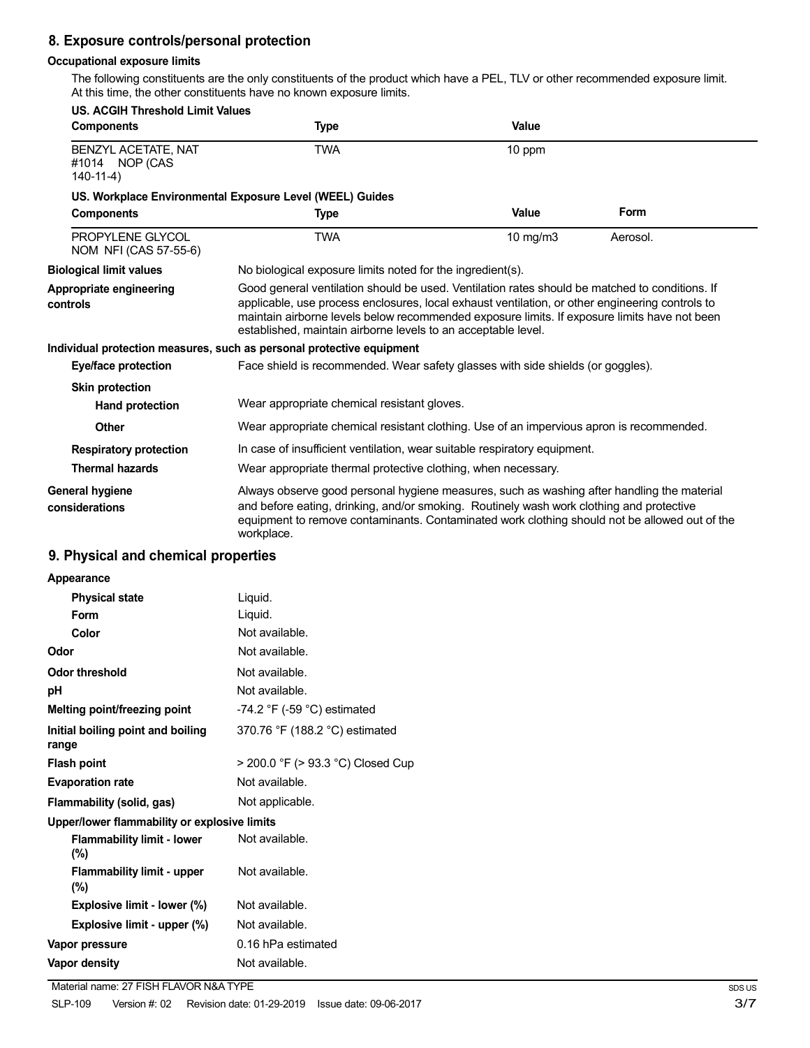# **8. Exposure controls/personal protection**

#### **Occupational exposure limits**

The following constituents are the only constituents of the product which have a PEL, TLV or other recommended exposure limit. At this time, the other constituents have no known exposure limits.

| <b>US. ACGIH Threshold Limit Values</b>                  |                                                                                                                                                                                                                                                                                                                                                                    |               |          |
|----------------------------------------------------------|--------------------------------------------------------------------------------------------------------------------------------------------------------------------------------------------------------------------------------------------------------------------------------------------------------------------------------------------------------------------|---------------|----------|
| <b>Components</b>                                        | Type                                                                                                                                                                                                                                                                                                                                                               | Value         |          |
| BENZYL ACETATE, NAT<br>#1014 NOP (CAS<br>$140-11-4)$     | <b>TWA</b>                                                                                                                                                                                                                                                                                                                                                         | 10 ppm        |          |
| US. Workplace Environmental Exposure Level (WEEL) Guides |                                                                                                                                                                                                                                                                                                                                                                    |               |          |
| <b>Components</b>                                        | <b>Type</b>                                                                                                                                                                                                                                                                                                                                                        | Value         | Form     |
| PROPYLENE GLYCOL<br>NOM NFI (CAS 57-55-6)                | <b>TWA</b>                                                                                                                                                                                                                                                                                                                                                         | $10$ mg/m $3$ | Aerosol. |
| <b>Biological limit values</b>                           | No biological exposure limits noted for the ingredient(s).                                                                                                                                                                                                                                                                                                         |               |          |
| Appropriate engineering<br>controls                      | Good general ventilation should be used. Ventilation rates should be matched to conditions. If<br>applicable, use process enclosures, local exhaust ventilation, or other engineering controls to<br>maintain airborne levels below recommended exposure limits. If exposure limits have not been<br>established, maintain airborne levels to an acceptable level. |               |          |
|                                                          | Individual protection measures, such as personal protective equipment                                                                                                                                                                                                                                                                                              |               |          |
| <b>Eye/face protection</b>                               | Face shield is recommended. Wear safety glasses with side shields (or goggles).                                                                                                                                                                                                                                                                                    |               |          |
| <b>Skin protection</b>                                   |                                                                                                                                                                                                                                                                                                                                                                    |               |          |
| Hand protection                                          | Wear appropriate chemical resistant gloves.                                                                                                                                                                                                                                                                                                                        |               |          |
| <b>Other</b>                                             | Wear appropriate chemical resistant clothing. Use of an impervious apron is recommended.                                                                                                                                                                                                                                                                           |               |          |
| <b>Respiratory protection</b>                            | In case of insufficient ventilation, wear suitable respiratory equipment.                                                                                                                                                                                                                                                                                          |               |          |
| <b>Thermal hazards</b>                                   | Wear appropriate thermal protective clothing, when necessary.                                                                                                                                                                                                                                                                                                      |               |          |
| General hygiene<br>considerations                        | Always observe good personal hygiene measures, such as washing after handling the material<br>and before eating, drinking, and/or smoking. Routinely wash work clothing and protective<br>equipment to remove contaminants. Contaminated work clothing should not be allowed out of the<br>workplace.                                                              |               |          |

# **9. Physical and chemical properties**

#### **Appearance**

| <b>Physical state</b>                        | Liquid.                                       |
|----------------------------------------------|-----------------------------------------------|
| Form                                         | Liquid.                                       |
| Color                                        | Not available.                                |
| Odor                                         | Not available.                                |
| <b>Odor threshold</b>                        | Not available.                                |
| рH                                           | Not available.                                |
| Melting point/freezing point                 | -74.2 $\degree$ F (-59 $\degree$ C) estimated |
| Initial boiling point and boiling<br>range   | 370.76 °F (188.2 °C) estimated                |
| <b>Flash point</b>                           | > 200.0 °F (> 93.3 °C) Closed Cup             |
| <b>Evaporation rate</b>                      | Not available.                                |
| Flammability (solid, gas)                    | Not applicable.                               |
| Upper/lower flammability or explosive limits |                                               |
| <b>Flammability limit - lower</b><br>$(\%)$  | Not available.                                |
| <b>Flammability limit - upper</b><br>$(\%)$  | Not available.                                |
| Explosive limit - lower (%)                  | Not available.                                |
| Explosive limit - upper (%)                  | Not available.                                |
| Vapor pressure                               | 0.16 hPa estimated                            |
| Vapor density                                | Not available.                                |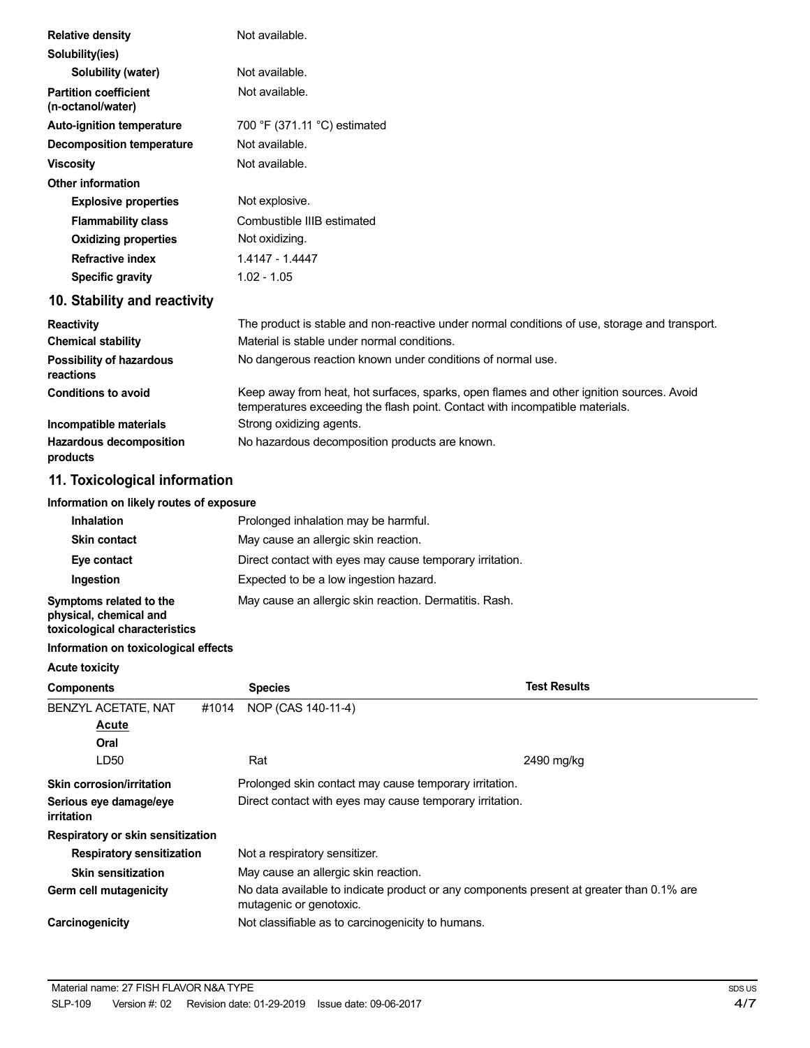| <b>Relative density</b>                           | Not available.                                                                                                                                                           |
|---------------------------------------------------|--------------------------------------------------------------------------------------------------------------------------------------------------------------------------|
| Solubility(ies)                                   |                                                                                                                                                                          |
| Solubility (water)                                | Not available.                                                                                                                                                           |
| <b>Partition coefficient</b><br>(n-octanol/water) | Not available.                                                                                                                                                           |
| <b>Auto-ignition temperature</b>                  | 700 °F (371.11 °C) estimated                                                                                                                                             |
| <b>Decomposition temperature</b>                  | Not available.                                                                                                                                                           |
| <b>Viscosity</b>                                  | Not available.                                                                                                                                                           |
| <b>Other information</b>                          |                                                                                                                                                                          |
| <b>Explosive properties</b>                       | Not explosive.                                                                                                                                                           |
| <b>Flammability class</b>                         | Combustible IIIB estimated                                                                                                                                               |
| <b>Oxidizing properties</b>                       | Not oxidizing.                                                                                                                                                           |
| <b>Refractive index</b>                           | 1.4147 - 1.4447                                                                                                                                                          |
| <b>Specific gravity</b>                           | $1.02 - 1.05$                                                                                                                                                            |
| 10. Stability and reactivity                      |                                                                                                                                                                          |
| <b>Reactivity</b>                                 | The product is stable and non-reactive under normal conditions of use, storage and transport.                                                                            |
| <b>Chemical stability</b>                         | Material is stable under normal conditions.                                                                                                                              |
| Possibility of hazardous<br>reactions             | No dangerous reaction known under conditions of normal use.                                                                                                              |
| <b>Conditions to avoid</b>                        | Keep away from heat, hot surfaces, sparks, open flames and other ignition sources. Avoid<br>temperatures exceeding the flash point. Contact with incompatible materials. |
| Incompatible materials                            | Strong oxidizing agents.                                                                                                                                                 |
| <b>Hazardous decomposition</b><br>products        | No hazardous decomposition products are known.                                                                                                                           |

# **11. Toxicological information**

#### **Information on likely routes of exposure**

| <b>Inhalation</b>                                                                  | Prolonged inhalation may be harmful.                     |
|------------------------------------------------------------------------------------|----------------------------------------------------------|
| <b>Skin contact</b>                                                                | May cause an allergic skin reaction.                     |
| Eye contact                                                                        | Direct contact with eyes may cause temporary irritation. |
| Ingestion                                                                          | Expected to be a low ingestion hazard.                   |
| Symptoms related to the<br>physical, chemical and<br>toxicological characteristics | May cause an allergic skin reaction. Dermatitis. Rash.   |

#### **Information on toxicological effects**

| <b>Acute toxicity</b>                       |                                                                                                                     |                     |
|---------------------------------------------|---------------------------------------------------------------------------------------------------------------------|---------------------|
| <b>Components</b>                           | <b>Species</b>                                                                                                      | <b>Test Results</b> |
| <b>BENZYL ACETATE, NAT</b><br>#1014         | NOP (CAS 140-11-4)                                                                                                  |                     |
| Acute                                       |                                                                                                                     |                     |
| Oral                                        |                                                                                                                     |                     |
| LD50                                        | Rat                                                                                                                 | 2490 mg/kg          |
| Skin corrosion/irritation                   | Prolonged skin contact may cause temporary irritation.                                                              |                     |
| Serious eye damage/eye<br><i>irritation</i> | Direct contact with eyes may cause temporary irritation.                                                            |                     |
| Respiratory or skin sensitization           |                                                                                                                     |                     |
| <b>Respiratory sensitization</b>            | Not a respiratory sensitizer.                                                                                       |                     |
| <b>Skin sensitization</b>                   | May cause an allergic skin reaction.                                                                                |                     |
| Germ cell mutagenicity                      | No data available to indicate product or any components present at greater than 0.1% are<br>mutagenic or genotoxic. |                     |
| Carcinogenicity                             | Not classifiable as to carcinogenicity to humans.                                                                   |                     |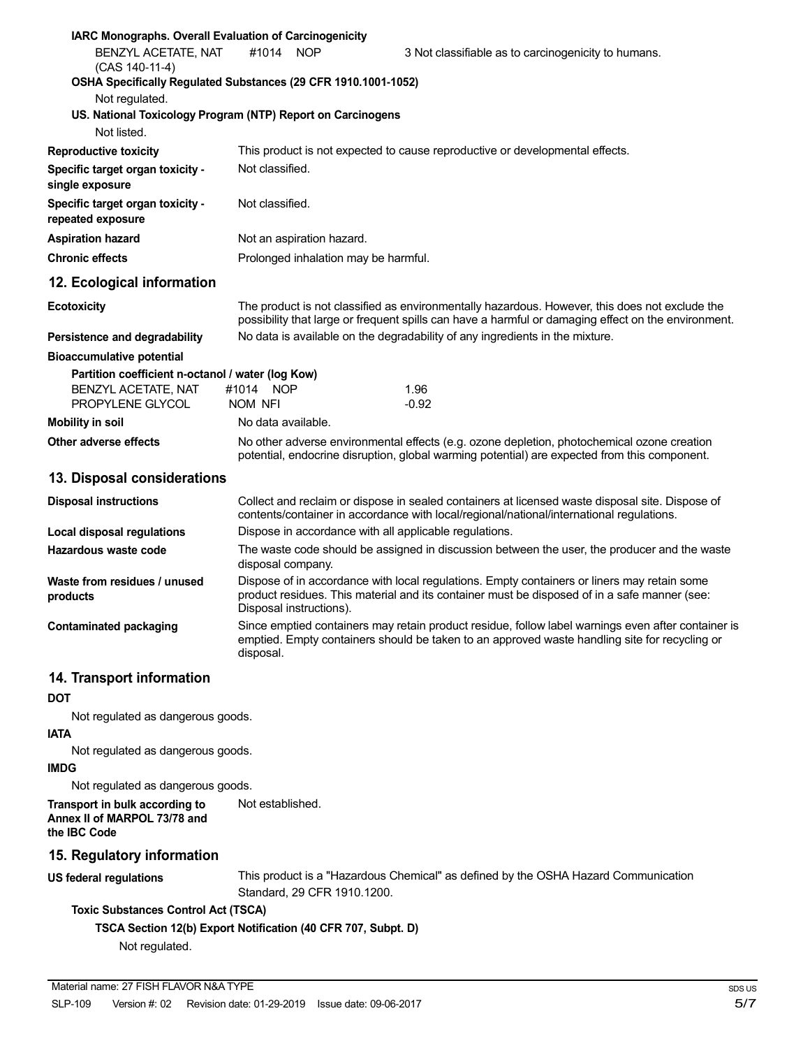| <b>IARC Monographs. Overall Evaluation of Carcinogenicity</b>                                           |                                                                                                                                                                                            |                                                        |                                                                                                                                                                                                       |
|---------------------------------------------------------------------------------------------------------|--------------------------------------------------------------------------------------------------------------------------------------------------------------------------------------------|--------------------------------------------------------|-------------------------------------------------------------------------------------------------------------------------------------------------------------------------------------------------------|
| BENZYL ACETATE, NAT<br>(CAS 140-11-4)<br>OSHA Specifically Regulated Substances (29 CFR 1910.1001-1052) | #1014                                                                                                                                                                                      | <b>NOP</b>                                             | 3 Not classifiable as to carcinogenicity to humans.                                                                                                                                                   |
| Not regulated.                                                                                          |                                                                                                                                                                                            |                                                        |                                                                                                                                                                                                       |
| US. National Toxicology Program (NTP) Report on Carcinogens                                             |                                                                                                                                                                                            |                                                        |                                                                                                                                                                                                       |
| Not listed.                                                                                             |                                                                                                                                                                                            |                                                        |                                                                                                                                                                                                       |
| <b>Reproductive toxicity</b>                                                                            |                                                                                                                                                                                            |                                                        | This product is not expected to cause reproductive or developmental effects.                                                                                                                          |
| Specific target organ toxicity -<br>single exposure                                                     | Not classified.                                                                                                                                                                            |                                                        |                                                                                                                                                                                                       |
| Specific target organ toxicity -<br>repeated exposure                                                   | Not classified.                                                                                                                                                                            |                                                        |                                                                                                                                                                                                       |
| <b>Aspiration hazard</b>                                                                                |                                                                                                                                                                                            | Not an aspiration hazard.                              |                                                                                                                                                                                                       |
| <b>Chronic effects</b>                                                                                  |                                                                                                                                                                                            | Prolonged inhalation may be harmful.                   |                                                                                                                                                                                                       |
| 12. Ecological information                                                                              |                                                                                                                                                                                            |                                                        |                                                                                                                                                                                                       |
| <b>Ecotoxicity</b>                                                                                      |                                                                                                                                                                                            |                                                        | The product is not classified as environmentally hazardous. However, this does not exclude the<br>possibility that large or frequent spills can have a harmful or damaging effect on the environment. |
| Persistence and degradability                                                                           | No data is available on the degradability of any ingredients in the mixture.                                                                                                               |                                                        |                                                                                                                                                                                                       |
| <b>Bioaccumulative potential</b>                                                                        |                                                                                                                                                                                            |                                                        |                                                                                                                                                                                                       |
| Partition coefficient n-octanol / water (log Kow)                                                       |                                                                                                                                                                                            |                                                        |                                                                                                                                                                                                       |
| <b>BENZYL ACETATE, NAT</b><br>PROPYLENE GLYCOL                                                          | #1014 NOP<br>NOM NFI                                                                                                                                                                       |                                                        | 1.96<br>$-0.92$                                                                                                                                                                                       |
|                                                                                                         | No data available.                                                                                                                                                                         |                                                        |                                                                                                                                                                                                       |
| <b>Mobility in soil</b>                                                                                 |                                                                                                                                                                                            |                                                        |                                                                                                                                                                                                       |
| Other adverse effects                                                                                   | No other adverse environmental effects (e.g. ozone depletion, photochemical ozone creation<br>potential, endocrine disruption, global warming potential) are expected from this component. |                                                        |                                                                                                                                                                                                       |
| 13. Disposal considerations                                                                             |                                                                                                                                                                                            |                                                        |                                                                                                                                                                                                       |
| <b>Disposal instructions</b>                                                                            |                                                                                                                                                                                            |                                                        | Collect and reclaim or dispose in sealed containers at licensed waste disposal site. Dispose of<br>contents/container in accordance with local/regional/national/international regulations.           |
| <b>Local disposal regulations</b>                                                                       |                                                                                                                                                                                            | Dispose in accordance with all applicable regulations. |                                                                                                                                                                                                       |
| Hazardous waste code                                                                                    | disposal company.                                                                                                                                                                          |                                                        | The waste code should be assigned in discussion between the user, the producer and the waste                                                                                                          |
| Waste from residues / unused<br>products                                                                |                                                                                                                                                                                            | Disposal instructions).                                | Dispose of in accordance with local regulations. Empty containers or liners may retain some<br>product residues. This material and its container must be disposed of in a safe manner (see:           |
| <b>Contaminated packaging</b>                                                                           | disposal.                                                                                                                                                                                  |                                                        | Since emptied containers may retain product residue, follow label warnings even after container is<br>emptied. Empty containers should be taken to an approved waste handling site for recycling or   |

## **14. Transport information**

## **DOT**

Not regulated as dangerous goods.

#### **IATA**

Not regulated as dangerous goods.

#### **IMDG**

Not regulated as dangerous goods.

**Transport in bulk according to Annex II of MARPOL 73/78 and the IBC Code** Not established.

# **15. Regulatory information**

**US federal regulations**

This product is a "Hazardous Chemical" as defined by the OSHA Hazard Communication Standard, 29 CFR 1910.1200.

# **Toxic Substances Control Act (TSCA)**

**TSCA Section 12(b) Export Notification (40 CFR 707, Subpt. D)**

Not regulated.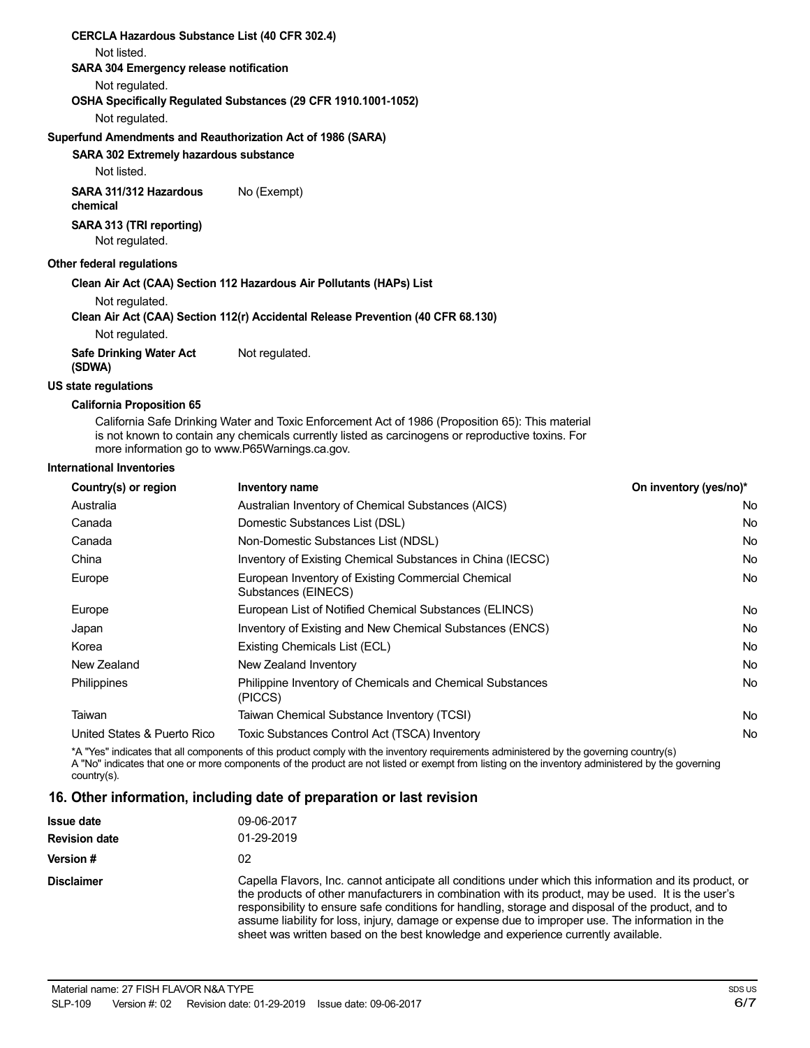| <b>CERCLA Hazardous Substance List (40 CFR 302.4)</b>                            |
|----------------------------------------------------------------------------------|
| Not listed.                                                                      |
| SARA 304 Emergency release notification                                          |
| Not regulated.                                                                   |
| OSHA Specifically Regulated Substances (29 CFR 1910.1001-1052)                   |
| Not regulated.                                                                   |
| Superfund Amendments and Reauthorization Act of 1986 (SARA)                      |
| <b>SARA 302 Extremely hazardous substance</b>                                    |
| Not listed.                                                                      |
| No (Exempt)<br>SARA 311/312 Hazardous<br>chemical                                |
| SARA 313 (TRI reporting)<br>Not regulated.                                       |
| Other federal regulations                                                        |
| Clean Air Act (CAA) Section 112 Hazardous Air Pollutants (HAPs) List             |
| Not regulated.                                                                   |
| Clean Air Act (CAA) Section 112(r) Accidental Release Prevention (40 CFR 68.130) |
| Not regulated.                                                                   |
| Not regulated.<br><b>Safe Drinking Water Act</b><br>(SDWA)                       |
| US state regulations                                                             |
| California Dramaelilan CE                                                        |

**California Proposition 65**

California Safe Drinking Water and Toxic Enforcement Act of 1986 (Proposition 65): This material is not known to contain any chemicals currently listed as carcinogens or reproductive toxins. For more information go to www.P65Warnings.ca.gov.

#### **International Inventories**

| Country(s) or region        | <b>Inventory name</b>                                                     | On inventory (yes/no)* |
|-----------------------------|---------------------------------------------------------------------------|------------------------|
| Australia                   | Australian Inventory of Chemical Substances (AICS)                        | No.                    |
| Canada                      | Domestic Substances List (DSL)                                            | <b>No</b>              |
| Canada                      | Non-Domestic Substances List (NDSL)                                       | <b>No</b>              |
| China                       | Inventory of Existing Chemical Substances in China (IECSC)                | No.                    |
| Europe                      | European Inventory of Existing Commercial Chemical<br>Substances (EINECS) | <b>No</b>              |
| Europe                      | European List of Notified Chemical Substances (ELINCS)                    | No.                    |
| Japan                       | Inventory of Existing and New Chemical Substances (ENCS)                  | <b>No</b>              |
| Korea                       | Existing Chemicals List (ECL)                                             | <b>No</b>              |
| New Zealand                 | New Zealand Inventory                                                     | <b>No</b>              |
| Philippines                 | Philippine Inventory of Chemicals and Chemical Substances<br>(PICCS)      | <b>No</b>              |
| Taiwan                      | Taiwan Chemical Substance Inventory (TCSI)                                | <b>No</b>              |
| United States & Puerto Rico | Toxic Substances Control Act (TSCA) Inventory                             | No                     |

\*A "Yes" indicates that all components of this product comply with the inventory requirements administered by the governing country(s) A "No" indicates that one or more components of the product are not listed or exempt from listing on the inventory administered by the governing country(s).

#### **16. Other information, including date of preparation or last revision**

| <b>Issue date</b><br><b>Revision date</b> | 09-06-2017<br>01-29-2019                                                                                                                                                                                                                                                                                                                                                                                                                                                                                     |
|-------------------------------------------|--------------------------------------------------------------------------------------------------------------------------------------------------------------------------------------------------------------------------------------------------------------------------------------------------------------------------------------------------------------------------------------------------------------------------------------------------------------------------------------------------------------|
| Version #                                 | 02                                                                                                                                                                                                                                                                                                                                                                                                                                                                                                           |
| <b>Disclaimer</b>                         | Capella Flavors, Inc. cannot anticipate all conditions under which this information and its product, or<br>the products of other manufacturers in combination with its product, may be used. It is the user's<br>responsibility to ensure safe conditions for handling, storage and disposal of the product, and to<br>assume liability for loss, injury, damage or expense due to improper use. The information in the<br>sheet was written based on the best knowledge and experience currently available. |